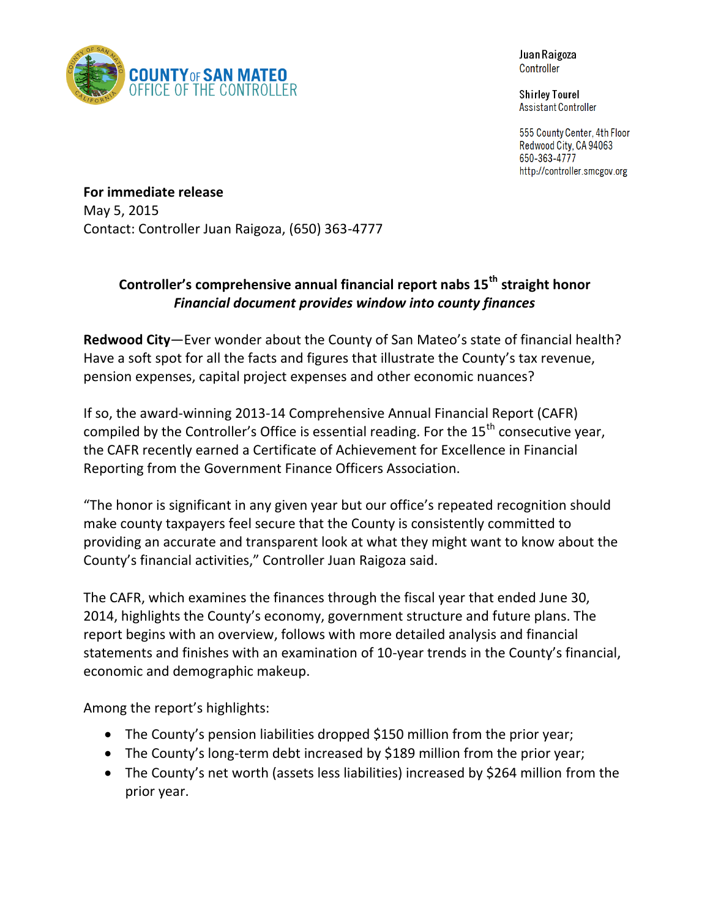

Juan Raigoza **Controller** 

**Shirley Tourel** Assistant Controller

555 County Center, 4th Floor Redwood City, CA 94063 650-363-4777 http://controller.smcgov.org

**For immediate release** May 5, 2015 Contact: Controller Juan Raigoza, (650) 363-4777

## **Controller's comprehensive annual financial report nabs 15th straight honor** *Financial document provides window into county finances*

**Redwood City**—Ever wonder about the County of San Mateo's state of financial health? Have a soft spot for all the facts and figures that illustrate the County's tax revenue, pension expenses, capital project expenses and other economic nuances?

If so, the award-winning 2013-14 Comprehensive Annual Financial Report (CAFR) compiled by the Controller's Office is essential reading. For the  $15<sup>th</sup>$  consecutive year, the CAFR recently earned a Certificate of Achievement for Excellence in Financial Reporting from the Government Finance Officers Association.

"The honor is significant in any given year but our office's repeated recognition should make county taxpayers feel secure that the County is consistently committed to providing an accurate and transparent look at what they might want to know about the County's financial activities," Controller Juan Raigoza said.

The CAFR, which examines the finances through the fiscal year that ended June 30, 2014, highlights the County's economy, government structure and future plans. The report begins with an overview, follows with more detailed analysis and financial statements and finishes with an examination of 10-year trends in the County's financial, economic and demographic makeup.

Among the report's highlights:

- The County's pension liabilities dropped \$150 million from the prior year;
- The County's long-term debt increased by \$189 million from the prior year;
- The County's net worth (assets less liabilities) increased by \$264 million from the prior year.